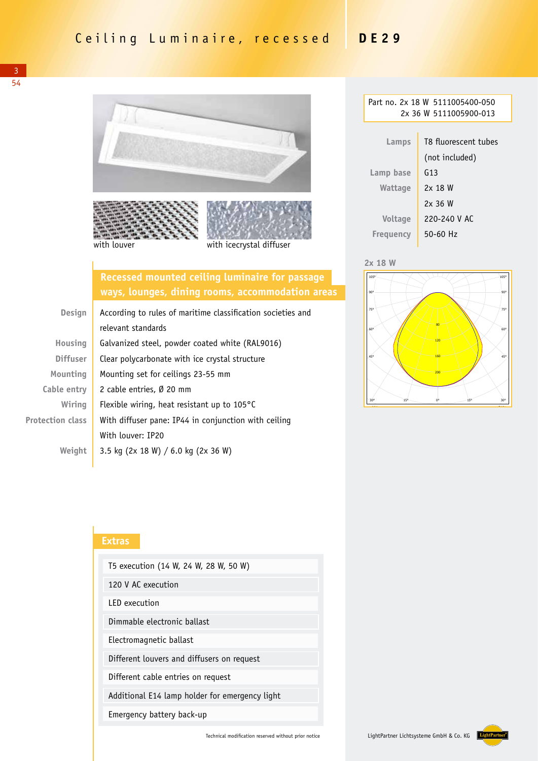

## **Recessed mounted ceiling luminaire for passage ways, lounges, dining rooms, accommodation areas**

| <b>Design</b>           | According to rules of maritime classification societies and |  |
|-------------------------|-------------------------------------------------------------|--|
|                         | relevant standards                                          |  |
| Housing                 | Galvanized steel, powder coated white (RAL9016)             |  |
| <b>Diffuser</b>         | Clear polycarbonate with ice crystal structure              |  |
| Mounting                | Mounting set for ceilings 23-55 mm                          |  |
| Cable entry             | 2 cable entries, Ø 20 mm                                    |  |
| Wiring                  | Flexible wiring, heat resistant up to $105^{\circ}$ C       |  |
| <b>Protection class</b> | With diffuser pane: IP44 in conjunction with ceiling        |  |
|                         | With louver: IP20                                           |  |
| Weiaht                  | 3.5 kg (2x 18 W) / 6.0 kg (2x 36 W)                         |  |

| Part no. 2x 18 W 5111005400-050 |                      |  |  |  |  |
|---------------------------------|----------------------|--|--|--|--|
| 2x 36 W 5111005900-013          |                      |  |  |  |  |
|                                 |                      |  |  |  |  |
| Lamps                           | T8 fluorescent tubes |  |  |  |  |
|                                 | (not included)       |  |  |  |  |
| Lamp base                       | G13                  |  |  |  |  |
| Wattage                         | 2x 18 W              |  |  |  |  |
|                                 | 2x36W                |  |  |  |  |
| <b>Voltage</b>                  | 220-240 V AC         |  |  |  |  |
| Freguency                       | 50-60 Hz             |  |  |  |  |





## **Extras**

| T5 execution (14 W, 24 W, 28 W, 50 W)          |  |  |  |
|------------------------------------------------|--|--|--|
| 120 V AC execution                             |  |  |  |
| <b>LED</b> execution                           |  |  |  |
| Dimmable electronic ballast                    |  |  |  |
| Electromagnetic ballast                        |  |  |  |
| Different louvers and diffusers on request     |  |  |  |
| Different cable entries on request             |  |  |  |
| Additional E14 lamp holder for emergency light |  |  |  |
| Emergency battery back-up                      |  |  |  |